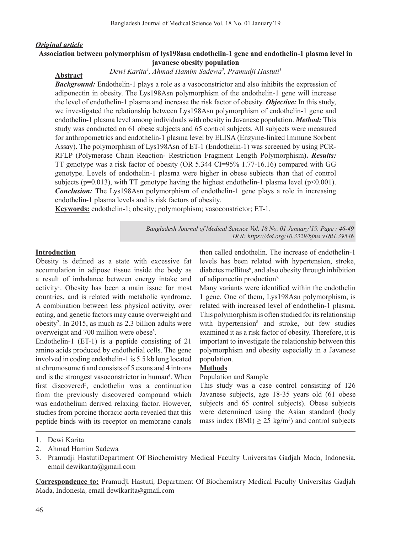#### *Original article*

**Abstract**

## **Association between polymorphism of lys198asn endothelin-1 gene and endothelin-1 plasma level in javanese obesity population**

#### *Dewi Karita1 , Ahmad Hamim Sadewa2 , Pramudji Hastuti3*

*Background:* Endothelin-1 plays a role as a vasoconstrictor and also inhibits the expression of adiponectin in obesity. The Lys198Asn polymorphism of the endothelin-1 gene will increase the level of endothelin-1 plasma and increase the risk factor of obesity. *Objective:* In this study, we investigated the relationship between Lys198Asn polymorphism of endothelin-1 gene and endothelin-1 plasma level among individuals with obesity in Javanese population. *Method:* This study was conducted on 61 obese subjects and 65 control subjects. All subjects were measured for anthropometrics and endothelin-1 plasma level by ELISA (Enzyme-linked Immune Sorbent Assay). The polymorphism of Lys198Asn of ET-1 (Endothelin-1) was screened by using PCR**-**RFLP (Polymerase Chain Reaction- Restriction Fragment Length Polymorphism**).** *Results:* TT genotype was a risk factor of obesity (OR 5.344 CI=95% 1.77-16.16) compared with GG genotype. Levels of endothelin-1 plasma were higher in obese subjects than that of control subjects ( $p=0.013$ ), with TT genotype having the highest endothelin-1 plasma level ( $p<0.001$ ). *Conclusion:* The Lys198Asn polymorphism of endothelin-1 gene plays a role in increasing endothelin-1 plasma levels and is risk factors of obesity.

**Keywords:** endothelin-1; obesity; polymorphism; vasoconstrictor; ET-1.

*Bangladesh Journal of Medical Science Vol. 18 No. 01 January'19. Page : 46-49 DOI: https://doi.org/10.3329/bjms.v18i1.39546*

#### **Introduction**

Obesity is defined as a state with excessive fat accumulation in adipose tissue inside the body as a result of imbalance between energy intake and activity<sup>1</sup>. Obesity has been a main issue for most countries, and is related with metabolic syndrome. A combination between less physical activity, over eating, and genetic factors may cause overweight and obesity<sup>2</sup> . In 2015, as much as 2.3 billion adults were overweight and 700 million were obese<sup>3</sup>.

Endothelin-1 (ET-1) is a peptide consisting of 21 amino acids produced by endothelial cells. The gene involved in coding endothelin-1 is 5.5 kb long located at chromosome 6 and consists of 5 exons and 4 introns and is the strongest vasoconstrictor in human<sup>4</sup>. When first discovered<sup>5</sup>, endothelin was a continuation from the previously discovered compound which was endothelium derived relaxing factor. However, studies from porcine thoracic aorta revealed that this peptide binds with its receptor on membrane canals

then called endothelin. The increase of endothelin-1 levels has been related with hypertension, stroke, diabetes mellitus<sup>6</sup>, and also obesity through inhibition of adiponectin production7.

Many variants were identified within the endothelin 1 gene. One of them, Lys198Asn polymorphism, is related with increased level of endothelin-1 plasma. This polymorphism is often studied for its relationship with hypertension<sup>8</sup> and stroke, but few studies examined it as a risk factor of obesity. Therefore, it is important to investigate the relationship between this polymorphism and obesity especially in a Javanese population.

### **Methods**

#### Population and Sample

This study was a case control consisting of 126 Javanese subjects, age 18-35 years old (61 obese subjects and 65 control subjects). Obese subjects were determined using the Asian standard (body mass index  $(BMI) \ge 25 \text{ kg/m}^2$  and control subjects

- 2. Ahmad Hamim Sadewa
- 3. Pramudji HastutiDepartment Of Biochemistry Medical Faculty Universitas Gadjah Mada, Indonesia, email dewikarita@gmail.com

**Correspondence to:** Pramudji Hastuti, Department Of Biochemistry Medical Faculty Universitas Gadjah Mada, Indonesia, email dewikarita@gmail.com

<sup>1.</sup> Dewi Karita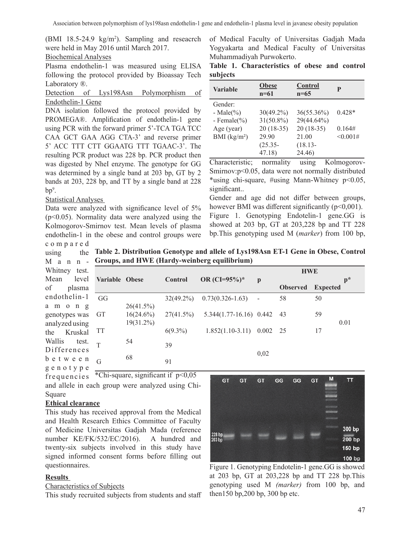(BMI 18.5-24.9 kg/m2 ). Sampling and reseacrch were held in May 2016 until March 2017.

## Biochemical Analyses

Plasma endothelin-1 was measured using ELISA following the protocol provided by Bioassay Tech Laboratory ®.

Detection of Lys198Asn Polymorphism of Endothelin-1 Gene

DNA isolation followed the protocol provided by PROMEGA®. Amplification of endothelin-1 gene using PCR with the forward primer 5'-TCA TGA TCC CAA GCT GAA AGG CTA-3' and reverse primer 5' ACC TTT CTT GGAATG TTT TGAAC-3'. The resulting PCR product was 228 bp. PCR product then was digested by NheI enzyme. The genotype for GG was determined by a single band at 203 bp, GT by 2 bands at 203, 228 bp, and TT by a single band at 228  $bp^9$ .

## Statistical Analyses

using

Data were analyzed with significance level of 5% (p<0.05). Normality data were analyzed using the Kolmogorov-Smirnov test. Mean levels of plasma endothelin-1 in the obese and control groups were compared

of Medical Faculty of Universitas Gadjah Mada Yogyakarta and Medical Faculty of Universitas Muhammadiyah Purwokerto.

|          | Table 1. Characteristics of obese and control |  |  |
|----------|-----------------------------------------------|--|--|
| subjects |                                               |  |  |

| <b>Variable</b>  | <b>Obese</b><br>$n=61$ | Control<br>$n=65$ | P        |
|------------------|------------------------|-------------------|----------|
| Gender:          |                        |                   |          |
| - Male $(\% )$   | $30(49.2\%)$           | 36(55.36%)        | $0.428*$ |
| - Female $(\% )$ | $31(50.8\%)$           | 29(44.64%)        |          |
| Age (year)       | $20(18-35)$            | $20(18-35)$       | 0.164#   |
| BMI $(kg/m2)$    | 29.90                  | 21.00             | <0.001#  |
|                  | $(25.35 -$             | $(18.13 -$        |          |
|                  | 47.18)                 | 24.46)            |          |

Characteristic; normality using Kolmogorov-Smirnov:p<0.05, data were not normally distributed \*using chi-square, #using Mann-Whitney p<0.05, significant..

Gender and age did not differ between groups, however BMI was different significantly  $(p<0,001)$ . Figure 1. Genotyping Endotelin-1 gene.GG is showed at 203 bp, GT at 203,228 bp and TT 228 bp.This genotyping used M (*marker*) from 100 bp,

Mann-**Groups, and HWE (Hardy-weinberg equilibrium) Table 2. Distribution Genotype and allele of Lys198Asn ET-1 Gene in Obese, Control** 

| Whitney test.    |                |              |                |                              |              | <b>HWE</b>      |                 |       |
|------------------|----------------|--------------|----------------|------------------------------|--------------|-----------------|-----------------|-------|
| level<br>Mean    | Variable Obese |              | <b>Control</b> | OR $(CI=95%)$ *              | $\mathbf{p}$ |                 |                 | $p^*$ |
| of<br>plasma     |                |              |                |                              |              | <b>Observed</b> | <b>Expected</b> |       |
| endothelin-1     | GG             |              | $32(49.2\%)$   | $0.73(0.326 - 1.63)$         |              | 58              | 50              |       |
| a m o n g        |                | 26(41.5%)    |                |                              |              |                 |                 |       |
| genotypes was GT |                | $16(24.6\%)$ | $27(41.5\%)$   | $5.344(1.77-16.16)$ 0.442 43 |              |                 | 59              |       |
| analyzed using   |                | 19(31.2%)    |                |                              |              |                 |                 | 0.01  |
| the Kruskal      | TT             |              | $6(9.3\%)$     | $1.852(1.10-3.11)$ 0.002 25  |              |                 | 17              |       |
| Wallis<br>test.  |                | 54           | 39             |                              |              |                 |                 |       |
| Differences      |                |              |                |                              | 0,02         |                 |                 |       |
| b e t w e e n    | $\overline{G}$ | 68           | 91             |                              |              |                 |                 |       |
| genotype         |                |              |                |                              |              |                 |                 |       |

frequencies and allele in each group were analyzed using Chi-Square \*Chi-square, significant if  $p<0,05$ 

# **Ethical clearance**

This study has received approval from the Medical and Health Research Ethics Committee of Faculty of Medicine Universitas Gadjah Mada (reference number KE/FK/532/EC/2016). A hundred and twenty-six subjects involved in this study have signed informed consent forms before filling out questionnaires.

# **Results**

## Characteristics of Subjects

This study recruited subjects from students and staff



Figure 1. Genotyping Endotelin-1 gene. GG is showed at 203 bp, GT at 203,228 bp and TT 228 bp. This genotyping used M (marker) from 100 bp, and  $then 150 bp, 200 bp, 300 bp, etc.$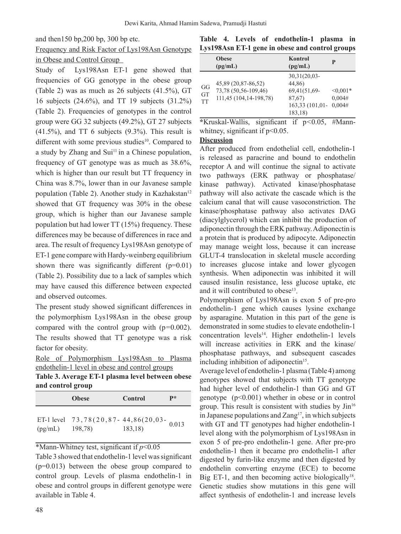and then150 bp,200 bp, 300 bp etc.

# Frequency and Risk Factor of Lys198Asn Genotype in Obese and Control Group

Study of Lys198Asn ET-1 gene showed that frequencies of GG genotype in the obese group (Table 2) was as much as 26 subjects (41.5%), GT 16 subjects (24.6%), and TT 19 subjects (31.2%) (Table 2). Frequencies of genotypes in the control group were GG 32 subjects (49.2%), GT 27 subjects (41.5%), and TT 6 subjects (9.3%). This result is different with some previous studies<sup>10</sup>. Compared to a study by Zhang and Sui<sup>11</sup> in a Chinese population, frequency of GT genotype was as much as 38.6%, which is higher than our result but TT frequency in China was 8.7%, lower than in our Javanese sample population (Table 2). Another study in Kazhakstan<sup>12</sup> showed that GT frequency was 30% in the obese group, which is higher than our Javanese sample population but had lower TT (15%) frequency. These differences may be because of differences in race and area. The result of frequency Lys198Asn genotype of ET-1 gene compare with Hardy-weinberg equilibrium shown there was significantly different  $(p=0.01)$ (Table 2). Possibility due to a lack of samples which may have caused this difference between expected and observed outcomes.

The present study showed significant differences in the polymorphism Lys198Asn in the obese group compared with the control group with (p*=*0.002). The results showed that TT genotype was a risk factor for obesity.

|                                                  |  | and control group                              |  |  |  |  |  |
|--------------------------------------------------|--|------------------------------------------------|--|--|--|--|--|
| Table 3. Average ET-1 plasma level between obese |  |                                                |  |  |  |  |  |
|                                                  |  | endothelin-1 level in obese and control groups |  |  |  |  |  |
|                                                  |  | Role of Polymorphism Lys198Asn to Plasma       |  |  |  |  |  |

|         | <b>Obese</b>                             | Control | $\mathbf{p} *$ |
|---------|------------------------------------------|---------|----------------|
|         | ET-1 level 73,78(20,87-44,86(20,03-0.013 |         |                |
| (pg/mL) | 198,78)                                  | 183,18  |                |

\*Mann-Whitney test, significant if *p*<0.05

Table 3 showed that endothelin-1 level wassignificant (p=0.013) between the obese group compared to control group. Levels of plasma endothelin-1 in obese and control groups in different genotype were available in Table 4.

## **Table 4. Levels of endothelin-1 plasma in Lys198Asn ET-1 gene in obese and control groups**

|                              | <b>Obese</b><br>(pg/mL)                                               | <b>Kontrol</b><br>(pg/mL)                                                         | P                              |
|------------------------------|-----------------------------------------------------------------------|-----------------------------------------------------------------------------------|--------------------------------|
| GG<br><b>GT</b><br><b>TT</b> | 45,89 (20,87-86,52)<br>73,78 (50,56-109,46)<br>111,45 (104,14-198,78) | $30,31(20,03 -$<br>44,86)<br>69,41(51,69-<br>87,67)<br>163,33 (101,01-<br>183,18) | $< 0.001*$<br>0,004#<br>0.004# |

**\***Kruskal-Wallis, significant if p*<*0.05, #Mannwhitney, significant if  $p<0.05$ .

## **Discussion**

After produced from endothelial cell, endothelin-1 is released as paracrine and bound to endothelin receptor A and will continue the signal to activate two pathways (ERK pathway or phosphatase/ kinase pathway). Activated kinase/phosphatase pathway will also activate the cascade which is the calcium canal that will cause vasoconstriction. The kinase/phosphatase pathway also activates DAG (diacylglycerol) which can inhibit the production of adiponectin through the ERK pathway.Adiponectin is a protein that is produced by adipocyte. Adiponectin may manage weight loss, because it can increase GLUT-4 translocation in skeletal muscle according to increases glucose intake and lower glycogen synthesis. When adiponectin was inhibited it will caused insulin resistance, less glucose uptake, etc and it will contributed to obese<sup>13</sup>.

Polymorphism of Lys198Asn is exon 5 of pre-pro endothelin-1 gene which causes lysine exchange by asparagine. Mutation in this part of the gene is demonstrated in some studies to elevate endothelin-1 concentration levels<sup>14</sup>. Higher endothelin-1 levels will increase activities in ERK and the kinase/ phosphatase pathways, and subsequent cascades including inhibition of adiponectin $15$ .

Average level of endothelin-1 plasma (Table 4) among genotypes showed that subjects with TT genotype had higher level of endothelin-1 than GG and GT genotype  $(p<0.001)$  whether in obese or in control group. This result is consistent with studies by  $\text{Jin}^{16}$ in Japanese populations and  $Zang<sup>17</sup>$ , in which subjects with GT and TT genotypes had higher endothelin-1 level along with the polymorphism of Lys198Asn in exon 5 of pre-pro endothelin-1 gene. After pre-pro endothelin-1 then it became pro endothelin-1 after digested by furin-like enzyme and then digested by endothelin converting enzyme (ECE) to become Big ET-1, and then becoming active biologically<sup>18</sup>. Genetic studies show mutations in this gene will affect synthesis of endothelin-1 and increase levels